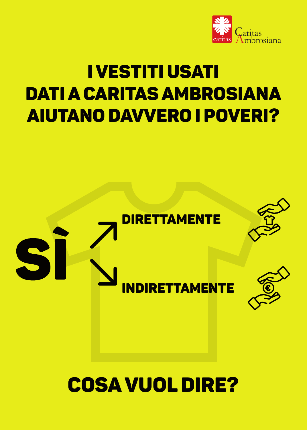

# I VESTITI USATI DATI A CARITAS AMBROSIANA AIUTANO DAVVERO I POVERI?





# INDIRETTAMENTE



# COSA VUOL DIRE?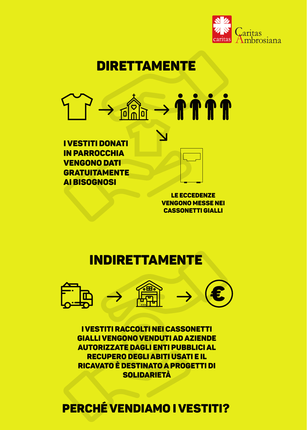

# DIRETTAMENTE

#### $\overline{\mathbf{0}}$

**I VESTITI DONATI IN PARROCCHIA VENGONO DATI GRATUITAMENTE AI BISOGNOSI** 



LE ECCEDENZE **VENGONO MESSE NEI CASSONETTI GIALLI** 

# INDIRETTAMENTE



I VESTITI RACCOLTI NEI CASSONETTI GIALLI VENGONO VENDUTI AD AZIENDE **AUTORIZZATE DAGLI ENTI PUBBLICI AL RECUPERO DEGLI ABITI USATI E IL** RICAVATO È DESTINATO A PROGETTI DI **SOLIDARIETÀ** 

## PERCHÉ VENDIAMO I VESTITI?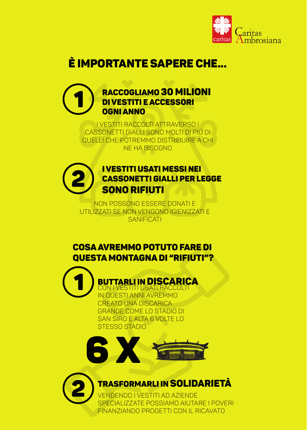

# **É IMPORTANTE SAPERE CHE...**



<u>I VESTITI RACCOLTI ATTRAVERSO I</u> CASSONETTI GIALLI SONO MOLTI DI PIÙ DI QUELLI CHE POTREMMO DISTRIBUIRE A CHI NE HA BISOGNO



**I VESTITI USATI MESSI NEI CASSONETTI GIALLI PER LEGGE** SONO RIFIUTI

NON POSSONO ESSERE DONATI E UTILIZZATI SE NON VENGONO IGIENIZZATI E SANIFICATI

### **COSA AVREMMO POTUTO FARE DI** QUESTA MONTAGNA DI "RIFIUTI"?

**BUTTARLI IN DISCARICA** ISATI RACCOLT IN QUESTI ANNI AVREMMO CREATO UNA DISCARICA **GRANDE COME LO STADIO DI** SAN SIRO E ALTA 6 VOLTE LO **STESSO STADIO** 







VENDENDO I VESTITI AD AZIENDE

#### SPECIALIZZATE POSSIAMO AIUTARE I POVERI

#### FINANZIANDO PROGETTI CON IL RICAVATO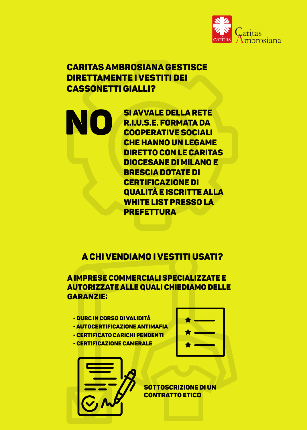

### CARITAS AMBROSIANA GESTISCE DIRETTAMENTE I VESTITI DEI CASSONETTI GIALLI?

#### A CHI VENDIAMO I VESTITI USATI?

SI AVVALE DELLA RETE R.I.U.S.E. FORMATA DA COOPERATIVE SOCIALI CHE HANNO UN LEGAME DIRETTO CON LE CARITAS DIOCESANE DI MILANO E BRESCIA DOTATE DI CERTIFICAZIONE DI QUALITÀ E ISCRITTE ALLA WHITE LIST PRESSO LA PREFETTURA

#### A IMPRESE COMMERCIALI SPECIALIZZATE E AUTORIZZATE ALLE QUALI CHIEDIAMO DELLE GARANZIE:

SOTTOSCRIZIONE DI UN

#### CONTRATTO ETICO

- DURC IN CORSO DI VALIDITÀ
- AUTOCERTIFICAZIONE ANTIMAFIA
- CERTIFICATO CARICHI PENDENTI
- CERTIFICAZIONE CAMERALE



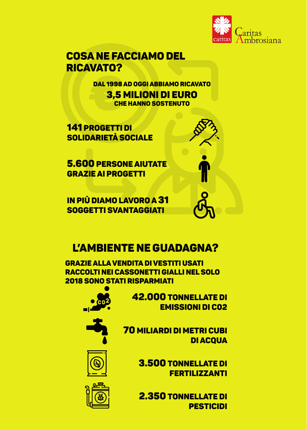

## COSA NE FACCIAMO DEL RICAVATO?

## L'AMBIENTE NE GUADAGNA?

141 PROGETTI DI SOLIDARIETÀ SOCIALE

> 42.000 TONNELLATE DI EMISSIONI DI C02

3.500 TONNELLATE DI FERTILIZZANTI







70 MILIARDI DI METRI CUBI DI ACQUA



5.600 PERSONE AIUTATE GRAZIE AI PROGETTI



IN PIÙ DIAMO LAVORO A 31 SOGGETTI SVANTAGGIATI



DAL 1998 AD OGGI ABBIAMO RICAVATO 3,5 MILIONI DI EURO CHE HANNO SOSTENUTO

GRAZIE ALLA VENDITA DI VESTITI USATI RACCOLTI NEI CASSONETTI GIALLI NEL SOLO 2018 SONO STATI RISPARMIATI